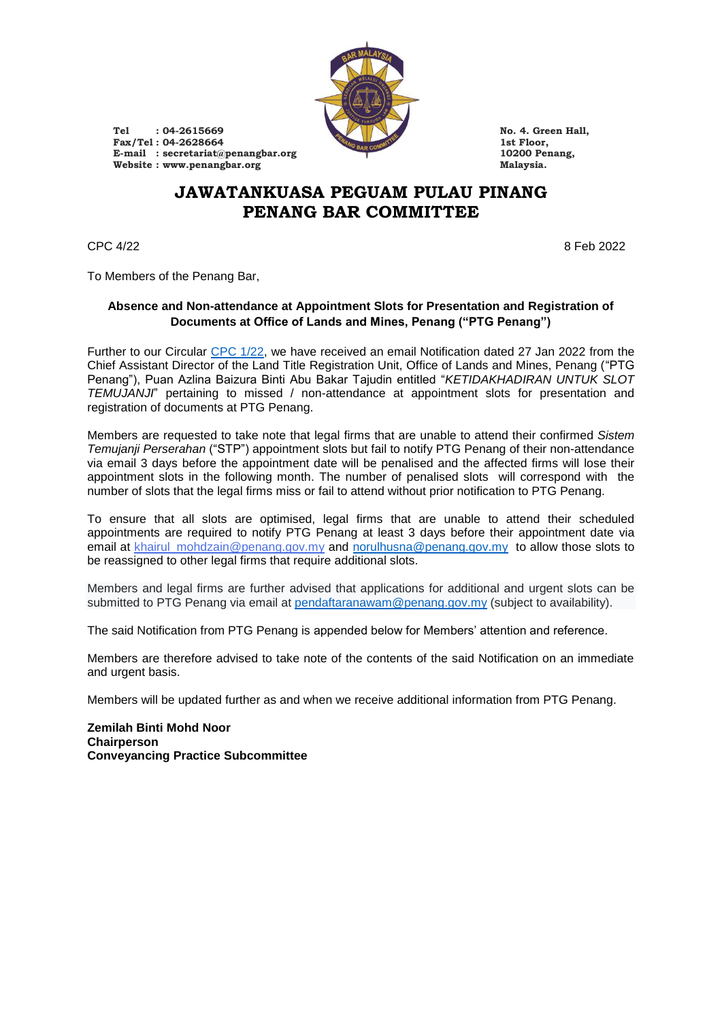

**Tel : 04-2615669 No. 4. Green Hall, Fax/Tel :** 04-2628664 **1st Floor,**<br> **E-mail** : secretariat@penangbar.org **10200 Penang, E-mail :** secretariat@penangbar.org **10200 Pe**<br> **E-mail :** secretariat@penangbar.org **10200 Pe**<br> **Malaysia**  $W$ ebsite : www.penangbar.org

## **JAWATANKUASA PEGUAM PULAU PINANG PENANG BAR COMMITTEE**

 $CPC\ 4/22$  8 Feb 2022

To Members of the Penang Bar,

## **Absence and Non-attendance at Appointment Slots for Presentation and Registration of Documents at Office of Lands and Mines, Penang ("PTG Penang")**

Further to our Circular [CPC 1/22,](https://penangbar.org/wp-content/uploads/2022/01/cpc-2022-1-full.pdf) we have received an email Notification dated 27 Jan 2022 from the Chief Assistant Director of the Land Title Registration Unit, Office of Lands and Mines, Penang ("PTG Penang"), Puan Azlina Baizura Binti Abu Bakar Tajudin entitled "*KETIDAKHADIRAN UNTUK SLOT TEMUJANJI*" pertaining to missed / non-attendance at appointment slots for presentation and registration of documents at PTG Penang.

Members are requested to take note that legal firms that are unable to attend their confirmed *Sistem Temujanji Perserahan* ("STP") appointment slots but fail to notify PTG Penang of their non-attendance via email 3 days before the appointment date will be penalised and the affected firms will lose their appointment slots in the following month. The number of penalised slots will correspond with the number of slots that the legal firms miss or fail to attend without prior notification to PTG Penang.

To ensure that all slots are optimised, legal firms that are unable to attend their scheduled appointments are required to notify PTG Penang at least 3 days before their appointment date via email at khairul mohdzain@penang.gov.my and [norulhusna@penang.gov.my](mailto:norulhusna@penang.gov.my) to allow those slots to be reassigned to other legal firms that require additional slots.

Members and legal firms are further advised that applications for additional and urgent slots can be submitted to PTG Penang via email at [pendaftaranawam@penang.gov.my](mailto:pendaftaranawam@penang.gov.my) (subject to availability).

The said Notification from PTG Penang is appended below for Members' attention and reference.

Members are therefore advised to take note of the contents of the said Notification on an immediate and urgent basis.

Members will be updated further as and when we receive additional information from PTG Penang.

**Zemilah Binti Mohd Noor Chairperson Conveyancing Practice Subcommittee**